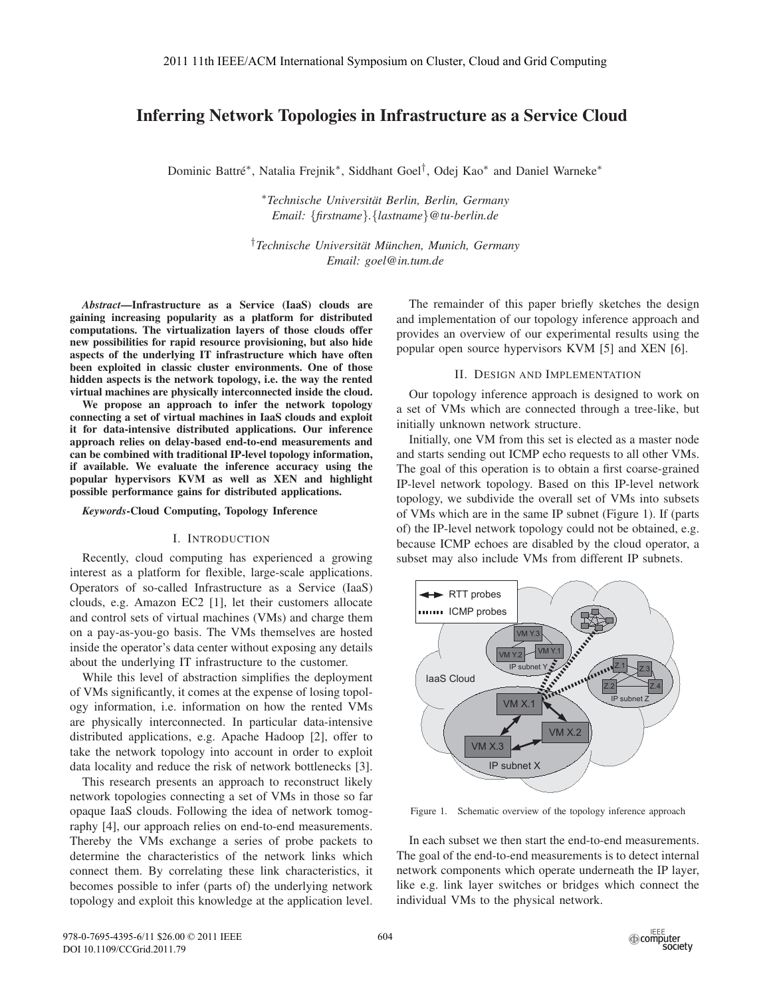# Inferring Network Topologies in Infrastructure as a Service Cloud

Dominic Battré<sup>\*</sup>, Natalia Frejnik<sup>\*</sup>, Siddhant Goel<sup>†</sup>, Odej Kao<sup>\*</sup> and Daniel Warneke<sup>\*</sup>

∗*Technische Universitat Berlin, Berlin, Germany ¨ Email:* {*firstname*}*.*{*lastname*}*@tu-berlin.de*

<sup>†</sup> Technische Universität München, Munich, Germany *Email: goel@in.tum.de*

*Abstract*—Infrastructure as a Service (IaaS) clouds are gaining increasing popularity as a platform for distributed computations. The virtualization layers of those clouds offer new possibilities for rapid resource provisioning, but also hide aspects of the underlying IT infrastructure which have often been exploited in classic cluster environments. One of those hidden aspects is the network topology, i.e. the way the rented virtual machines are physically interconnected inside the cloud.

We propose an approach to infer the network topology connecting a set of virtual machines in IaaS clouds and exploit it for data-intensive distributed applications. Our inference approach relies on delay-based end-to-end measurements and can be combined with traditional IP-level topology information, if available. We evaluate the inference accuracy using the popular hypervisors KVM as well as XEN and highlight possible performance gains for distributed applications.

## *Keywords*-Cloud Computing, Topology Inference

### I. INTRODUCTION

Recently, cloud computing has experienced a growing interest as a platform for flexible, large-scale applications. Operators of so-called Infrastructure as a Service (IaaS) clouds, e.g. Amazon EC2 [1], let their customers allocate and control sets of virtual machines (VMs) and charge them on a pay-as-you-go basis. The VMs themselves are hosted inside the operator's data center without exposing any details about the underlying IT infrastructure to the customer.

While this level of abstraction simplifies the deployment of VMs significantly, it comes at the expense of losing topology information, i.e. information on how the rented VMs are physically interconnected. In particular data-intensive distributed applications, e.g. Apache Hadoop [2], offer to take the network topology into account in order to exploit data locality and reduce the risk of network bottlenecks [3].

This research presents an approach to reconstruct likely network topologies connecting a set of VMs in those so far opaque IaaS clouds. Following the idea of network tomography [4], our approach relies on end-to-end measurements. Thereby the VMs exchange a series of probe packets to determine the characteristics of the network links which connect them. By correlating these link characteristics, it becomes possible to infer (parts of) the underlying network topology and exploit this knowledge at the application level.

The remainder of this paper briefly sketches the design and implementation of our topology inference approach and provides an overview of our experimental results using the popular open source hypervisors KVM [5] and XEN [6].

## II. DESIGN AND IMPLEMENTATION

Our topology inference approach is designed to work on a set of VMs which are connected through a tree-like, but initially unknown network structure.

Initially, one VM from this set is elected as a master node and starts sending out ICMP echo requests to all other VMs. The goal of this operation is to obtain a first coarse-grained IP-level network topology. Based on this IP-level network topology, we subdivide the overall set of VMs into subsets of VMs which are in the same IP subnet (Figure 1). If (parts of) the IP-level network topology could not be obtained, e.g. because ICMP echoes are disabled by the cloud operator, a subset may also include VMs from different IP subnets.



Figure 1. Schematic overview of the topology inference approach

In each subset we then start the end-to-end measurements. The goal of the end-to-end measurements is to detect internal network components which operate underneath the IP layer, like e.g. link layer switches or bridges which connect the individual VMs to the physical network.